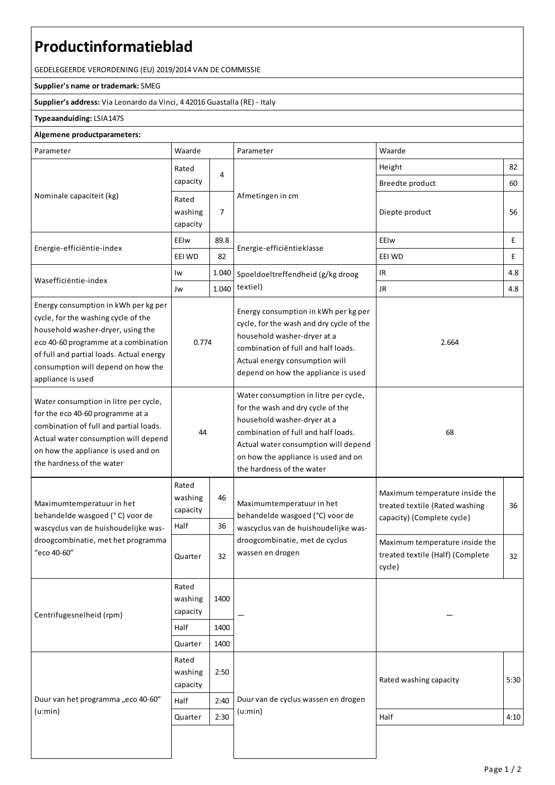## **Productinformatieblad**

GEDELEGEERDE VERORDENING (EU) 2019/2014 VAN DE COMMISSIE

## **Supplier's name or trademark:**SMEG

**Supplier's address:** ViaLeonardo da Vinci, 4 42016 Guastalla(RE) - Italy

## **Typeaanduiding:**LSIA147S

## **Algemene productparameters:**

| Parameter                                                                                                                                                                                                                                                       | Waarde                               |          | Parameter                                                                                                                                                                                                                                                    | Waarde                                                                                         |      |
|-----------------------------------------------------------------------------------------------------------------------------------------------------------------------------------------------------------------------------------------------------------------|--------------------------------------|----------|--------------------------------------------------------------------------------------------------------------------------------------------------------------------------------------------------------------------------------------------------------------|------------------------------------------------------------------------------------------------|------|
| Nominale capaciteit (kg)                                                                                                                                                                                                                                        | Rated<br>capacity                    | 4        | Afmetingen in cm                                                                                                                                                                                                                                             | Height                                                                                         | 82   |
|                                                                                                                                                                                                                                                                 |                                      |          |                                                                                                                                                                                                                                                              | Breedte product                                                                                | 60   |
|                                                                                                                                                                                                                                                                 | Rated<br>washing<br>capacity         | 7        |                                                                                                                                                                                                                                                              | Diepte product                                                                                 | 56   |
| Energie-efficiëntie-index                                                                                                                                                                                                                                       | EEIw                                 | 89.8     | Energie-efficiëntieklasse                                                                                                                                                                                                                                    | EEIw                                                                                           | E    |
|                                                                                                                                                                                                                                                                 | EEI WD                               | 82       |                                                                                                                                                                                                                                                              | EEI WD                                                                                         | E    |
| Wasefficiëntie-index                                                                                                                                                                                                                                            | Iw                                   | 1.040    | Spoeldoeltreffendheid (g/kg droog<br>textiel)                                                                                                                                                                                                                | <b>IR</b>                                                                                      | 4.8  |
|                                                                                                                                                                                                                                                                 | Jw                                   | 1.040    |                                                                                                                                                                                                                                                              | <b>JR</b>                                                                                      | 4.8  |
| Energy consumption in kWh per kg per<br>cycle, for the washing cycle of the<br>household washer-dryer, using the<br>eco 40-60 programme at a combination<br>of full and partial loads. Actual energy<br>consumption will depend on how the<br>appliance is used | 0.774                                |          | Energy consumption in kWh per kg per<br>cycle, for the wash and dry cycle of the<br>household washer-dryer at a<br>combination of full and half loads.<br>Actual energy consumption will<br>depend on how the appliance is used                              | 2.664                                                                                          |      |
| Water consumption in litre per cycle,<br>for the eco 40-60 programme at a<br>combination of full and partial loads.<br>Actual water consumption will depend<br>on how the appliance is used and on<br>the hardness of the water                                 | 44                                   |          | Water consumption in litre per cycle,<br>for the wash and dry cycle of the<br>household washer-dryer at a<br>combination of full and half loads.<br>Actual water consumption will depend<br>on how the appliance is used and on<br>the hardness of the water | 68                                                                                             |      |
| Maximumtemperatuur in het<br>behandelde wasgoed (°C) voor de<br>wascyclus van de huishoudelijke was-<br>droogcombinatie, met het programma<br>"eco 40-60"                                                                                                       | Rated<br>washing<br>capacity<br>Half | 46<br>36 | Maximumtemperatuur in het<br>behandelde wasgoed (°C) voor de<br>wascyclus van de huishoudelijke was-<br>droogcombinatie, met de cyclus<br>wassen en drogen                                                                                                   | Maximum temperature inside the<br>treated textile (Rated washing<br>capacity) (Complete cycle) | 36   |
|                                                                                                                                                                                                                                                                 | Quarter                              | 32       |                                                                                                                                                                                                                                                              | Maximum temperature inside the<br>treated textile (Half) (Complete<br>cycle)                   | 32   |
| Centrifugesnelheid (rpm)                                                                                                                                                                                                                                        | Rated<br>washing<br>capacity         | 1400     |                                                                                                                                                                                                                                                              |                                                                                                |      |
|                                                                                                                                                                                                                                                                 | Half                                 | 1400     |                                                                                                                                                                                                                                                              |                                                                                                |      |
|                                                                                                                                                                                                                                                                 | Quarter                              | 1400     |                                                                                                                                                                                                                                                              |                                                                                                |      |
| Duur van het programma "eco 40-60"<br>(u:min)                                                                                                                                                                                                                   | Rated<br>washing<br>capacity         | 2:50     | Rated washing capacity<br>Duur van de cyclus wassen en drogen<br>(u:min)<br>Half                                                                                                                                                                             |                                                                                                | 5:30 |
|                                                                                                                                                                                                                                                                 | Half                                 | 2:40     |                                                                                                                                                                                                                                                              |                                                                                                |      |
|                                                                                                                                                                                                                                                                 | Quarter                              | 2:30     |                                                                                                                                                                                                                                                              |                                                                                                | 4:10 |
|                                                                                                                                                                                                                                                                 |                                      |          |                                                                                                                                                                                                                                                              |                                                                                                |      |